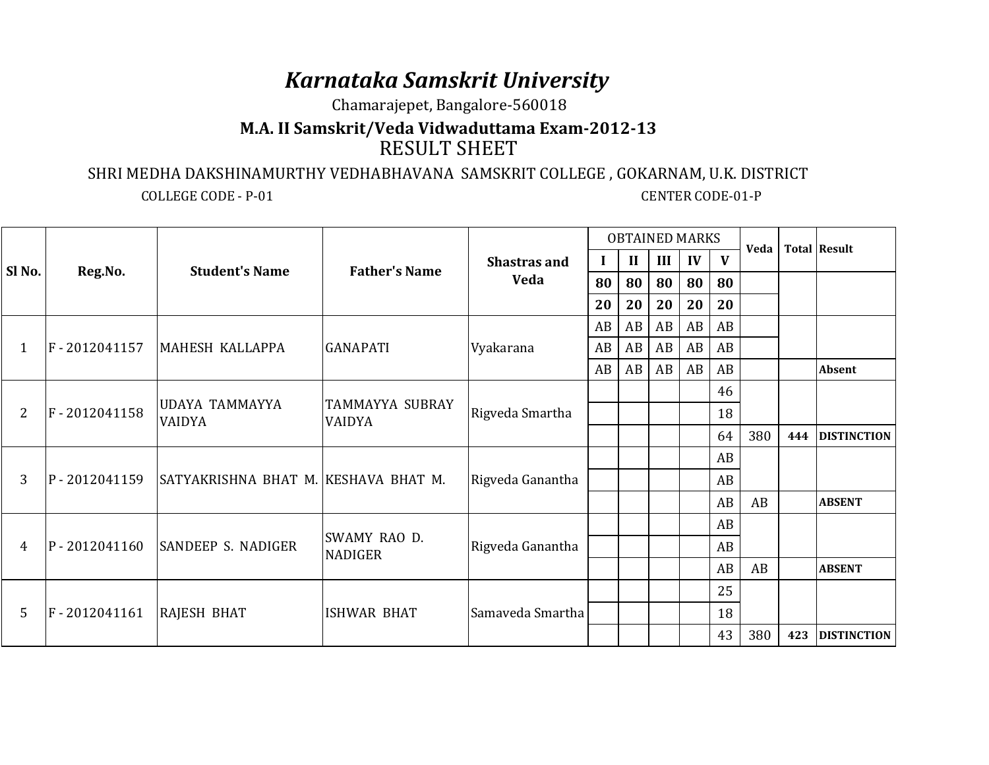## *Karnataka Samskrit University*

Chamarajepet, Bangalore-560018

## **M.A. II Samskrit/Veda Vidwaduttama Exam-2012-13**RESULT SHEET

## SHRI MEDHA DAKSHINAMURTHY VEDHABHAVANA SAMSKRIT COLLEGE , GOKARNAM, U.K. DISTRICT

COLLEGE CODE - P-01 CENTER CODE-01-P

| Sl No.         | Reg.No.      | <b>Student's Name</b>                  | <b>Father's Name</b>                    | <b>Shastras and</b><br>Veda | <b>OBTAINED MARKS</b> |              |     |              |    | Veda |     | <b>Total Result</b> |
|----------------|--------------|----------------------------------------|-----------------------------------------|-----------------------------|-----------------------|--------------|-----|--------------|----|------|-----|---------------------|
|                |              |                                        |                                         |                             | I                     | $\mathbf{I}$ | III | $\mathbf{I}$ | V  |      |     |                     |
|                |              |                                        |                                         |                             | 80                    | 80           | 80  | 80           | 80 |      |     |                     |
|                |              |                                        |                                         |                             | 20                    | 20           | 20  | 20           | 20 |      |     |                     |
| 1              | F-2012041157 | MAHESH KALLAPPA                        | <b>GANAPATI</b>                         | Vyakarana                   | AB                    | AB           | AB  | AB           | AB |      |     |                     |
|                |              |                                        |                                         |                             | AB                    | AB           | AB  | AB           | AB |      |     |                     |
|                |              |                                        |                                         |                             | AB                    | AB           | AB  | AB           | AB |      |     | <b>Absent</b>       |
| $\overline{2}$ | F-2012041158 | <b>UDAYA TAMMAYYA</b><br><b>VAIDYA</b> | <b>TAMMAYYA SUBRAY</b><br><b>VAIDYA</b> | Rigveda Smartha             |                       |              |     |              | 46 |      |     |                     |
|                |              |                                        |                                         |                             |                       |              |     |              | 18 |      |     |                     |
|                |              |                                        |                                         |                             |                       |              |     |              | 64 | 380  | 444 | <b>DISTINCTION</b>  |
| 3              | P-2012041159 | SATYAKRISHNA BHAT M. KESHAVA BHAT M.   |                                         | Rigveda Ganantha            |                       |              |     |              | AB |      |     |                     |
|                |              |                                        |                                         |                             |                       |              |     |              | AB |      |     |                     |
|                |              |                                        |                                         |                             |                       |              |     |              | AB | AB   |     | <b>ABSENT</b>       |
| 4              | P-2012041160 | SANDEEP S. NADIGER                     | SWAMY RAO D.<br><b>NADIGER</b>          | Rigveda Ganantha            |                       |              |     |              | AB |      |     |                     |
|                |              |                                        |                                         |                             |                       |              |     |              | AB |      |     |                     |
|                |              |                                        |                                         |                             |                       |              |     |              | AB | AB   |     | <b>ABSENT</b>       |
| 5              | F-2012041161 | <b>RAJESH BHAT</b>                     | <b>ISHWAR BHAT</b>                      | Samaveda Smartha            |                       |              |     |              | 25 |      |     |                     |
|                |              |                                        |                                         |                             |                       |              |     |              | 18 |      |     |                     |
|                |              |                                        |                                         |                             |                       |              |     |              | 43 | 380  | 423 | <b>DISTINCTION</b>  |